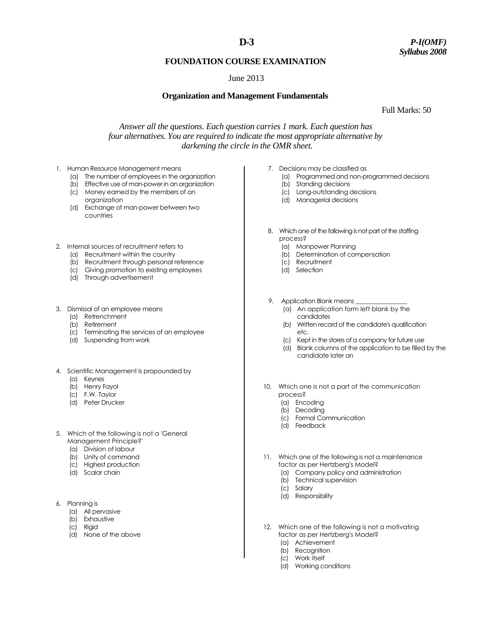## **FOUNDATION COURSE EXAMINATION**

## June 2013

### **Organization and Management Fundamentals**

Full Marks: 50

*Answer all the questions. Each question carries 1 mark. Each question has four alternatives. You are required to indicate the most appropriate alternative by darkening the circle in the OMR sheet.*

- 1. Human Resource Management means
	- (a) The number of employees in the organization
	- (b) Effective use of man-power in an organization
	- (c) Money earned by the members of an organization
	- (d) Exchange of man-power between two countries
- 2. Internal sources of recruitment refers to
	- (a) Recruitment within the country
	- (b) Recruitment through personal reference
	- (c) Giving promotion to existing employees
	- (d) Through advertisement
- 3. Dismissal of an employee means
	- (a) Retrenchment
	- (b) Retirement
	- (c) Terminating the services of an employee
	- (d) Suspending from work
- 4. Scientific Management is propounded by
	- (a) Keynes
	- (b) Henry Fayol
	- (c) F.W. Taylor
	- (d) Peter Drucker
- 5. Which of the following is not a 'General Management Principle?'
	- (a) Division of labour
	- (b) Unity of command
	- (c) Highest production
	- (d) Scalar chain
- 6. Planning is
	- (a) All pervasive
	- (b) Exhaustive
	- (c) Rigid
	- (d) None of the above
- 7. Decisions may be classified as
	- (a) Programmed and non-programmed decisions
	- (b) Standing decisions
	- (c) Long-outstanding decisions (d) Managerial decisions
- 8. Which one of the following is not part of the staffing process?
	- (a) Manpower Planning
	- (b) Determination of compensation
	- (c) Recruitment
	- (d) Selection
- 9. Application Blank means
	- (a) An application form left blank by the candidates
	- (b) Written record of the candidate's qualification etc.
	- (c) Kept in the stores of a company for future use
	- (d) Blank columns of the application to be filled by the candidate later on
- 10. Which one is not a part of the communication process?
	- (a) Encoding
	- (b) Decoding
	- (c) Formal Communication
	- (d) Feedback
- 11. Which one of the following is not a maintenance factor as per Hertzberg's Model?
	- (a) Company policy and administration
	- (b) Technical supervision
	- (c) Salary
	- (d) Responsibility
- 12. Which one of the following is not a motivating factor as per Hertzberg's Model?
	- (a) Achievement
	- (b) Recognition
	- (c) Work itself
	- (d) Working conditions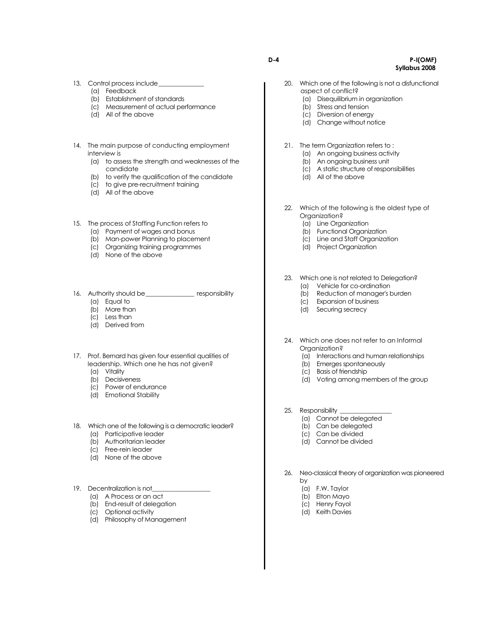- 13. Control process include\_
	- (a) Feedback
	- (b) Establishment of standards
	- (c) Measurement of actual performance
	- (d) All of the above
- 14. The main purpose of conducting employment interview is
	- (a) to assess the strength and weaknesses of the candidate
	- (b) to verify the qualification of the candidate
	- (c) to give pre-recruitment training
	- (d) All of the above
- 15. The process of Staffing Function refers to
	- (a) Payment of wages and bonus
	- (b) Man-power Planning to placement
	- (c) Organizing training programmes
	- (d) None of the above
- 16. Authority should be\_\_\_\_\_\_\_\_\_\_\_\_\_\_\_\_\_ responsibility
	- (a) Equal to
	- (b) More than
	- (c) Less than
	- (d) Derived from
- 17. Prof. Bernard has given four essential qualities of leadership. Which one he has not given?
	- (a) Vitality
	- (b) Decisiveness
	- (c) Power of endurance
	- (d) Emotional Stability
- 18. Which one of the following is a democratic leader?
	- (a) Participative leader
	- (b) Authoritarian leader
	- (c) Free-rein leader
	- (d) None of the above
- 19. Decentralization is not
	- (a) A Process or an act
	- (b) End-result of delegation
	- (c) Optional activity
	- (d) Philosophy of Management
- 20. Which one of the following is not a disfunctional aspect of conflict?
	- (a) Disequilibrium in organization
	- (b) Stress and tension
	- (c) Diversion of energy
	- (d) Change without notice
- 21. The term Organization refers to :
	- (a) An ongoing business activity
		- (b) An ongoing business unit
		- (c) A static structure of responsibilities
		- (d) All of the above
- 22. Which of the following is the oldest type of Organization?
	- (a) Line Organization
	- (b) Functional Organization
	- (c) Line and Staff Organization
	- (d) Project Organization
- 23. Which one is not related to Delegation? (a) Vehicle for co-ordination
	- (b) Reduction of manager's burden
	- (c) Expansion of business
	- (d) Securing secrecy
- 24. Which one does not refer to an Informal Organization?
	- (a) Interactions and human relationships
	- (b) Emerges spontaneously
	- (c) Basis of friendship
	- (d) Voting among members of the group
- 25. Responsibility
	- (a) Cannot be delegated
	- (b) Can be delegated
	- (c) Can be divided
	- (d) Cannot be divided
- 26. Neo-classical theory of organization was pioneered by
	- (a) F.W. Taylor
	- (b) Elton Mayo
	- (c) Henry Fayol
	- (d) Keith Davies

**D-4 P-I(OMF) Syllabus 2008**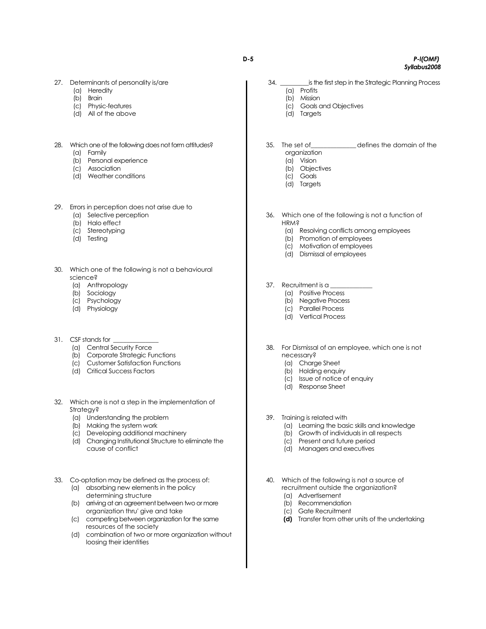#### 27. Determinants of personality is/are

- (a) Heredity
- (b) Brain
- (c) Physic-features
- (d) All of the above

# 28. Which one of the following does not form attitudes?

- (a) Family (b) Personal experience
- (c) Association
- (d) Weather conditions

#### 29. Errors in perception does not arise due to

- (a) Selective perception
- (b) Halo effect
- (c) Stereotyping
- (d) Testing
- 30. Which one of the following is not a behavioural science?
	- (a) Anthropology
	- (b) Sociology
	- (c) Psychology
	- (d) Physiology
- 31. CSF stands for
	- (a) Central Security Force
	- (b) Corporate Strategic Functions
	- (c) Customer Satisfaction Functions
	- (d) Critical Success Factors
- 32. Which one is not a step in the implementation of Strategy?
	- (a) Understanding the problem
	- (b) Making the system work
	- (c) Developing additional machinery
	- (d) Changing Institutional Structure to eliminate the cause of conflict
- 33. Co-optation may be defined as the process of:
	- (a) absorbing new elements in the policy determining structure
	- (b) arriving at an agreement between two or more organization thru' give and take
	- (c) competing between organization for the same resources of the society
	- (d) combination of two or more organization without loosing their identities
- 34. \_\_\_\_\_\_\_\_\_is the first step in the Strategic Planning Process
	- (a) Profits
	- (b) Mission
	- (c) Goals and Objectives
	- (d) Targets
- 35. The set of\_\_\_\_\_\_\_\_\_\_\_\_\_\_defines the domain of the organization
	- (a) Vision
	- (b) Objectives
	- (c) Goals
	- (d) Targets
- 36. Which one of the following is not a function of **HRM?** 
	- (a) Resolving conflicts among employees
	- (b) Promotion of employees
	- (c) Motivation of employees
	- (d) Dismissal of employees
- 37. Recruitment is a
	- (a) Positive Process
	- (b) Negative Process
	- (c) Parallel Process
	- (d) Vertical Process
- 38. For Dismissal of an employee, which one is not necessary?
	- (a) Charge Sheet
	- (b) Holding enquiry
	- (c) Issue of notice of enquiry
	- (d) Response Sheet
- 39. Training is related with
	- (a) Learning the basic skills and knowledge
	- (b) Growth of individuals in all respects
	- (c) Present and future period
	- (d) Managers and executives
- 40. Which of the following is not a source of recruitment outside the organization? (a) Advertisement
	- (b) Recommendation
	- (c) Gate Recruitment
	- **(d)** Transfer from other units of the undertaking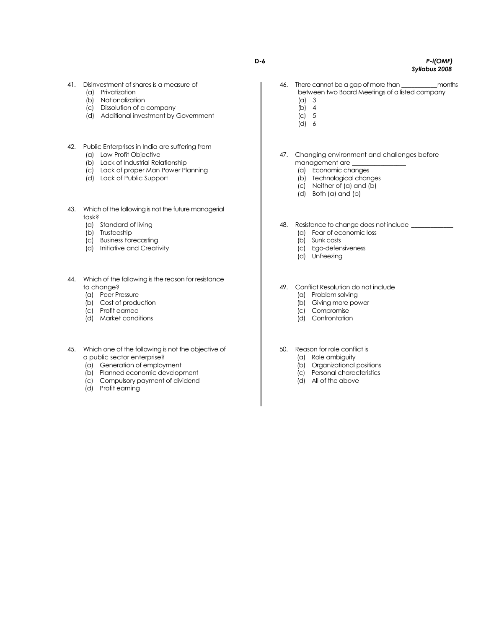- 41. Disinvestment of shares is a measure of
	- (a) Privatization
	- (b) Nationalization
	- (c) Dissolution of a company
	- (d) Additional investment by Government
- 42. Public Enterprises in India are suffering from
	- (a) Low Profit Objective
	- (b) Lack of Industrial Relationship
	- (c) Lack of proper Man Power Planning
	- (d) Lack of Public Support
- 43. Which of the following is not the future managerial task?
	- (a) Standard of living
	- (b) Trusteeship
	- (c) Business Forecasting
	- (d) Initiative and Creativity
- 44. Which of the following is the reason for resistance to change?
	- (a) Peer Pressure
	- (b) Cost of production
	- (c) Profit earned
	- (d) Market conditions
- 45. Which one of the following is not the objective of a public sector enterprise?
	- (a) Generation of employment
	- (b) Planned economic development
	- (c) Compulsory payment of dividend
	- (d) Profit earning
- 46. There cannot be a gap of more than \_\_\_\_\_\_\_\_\_\_\_months between two Board Meetings of a listed company (a) 3
	- (b) 4
	- $(c)$  5
	- (d) 6
- 47. Changing environment and challenges before management are \_\_\_\_\_\_\_\_\_\_\_\_\_\_\_\_\_
	- (a) Economic changes
	- (b) Technological changes
	- (c) Neither of (a) and (b)
	- (d) Both (a) and (b)
- 48. Resistance to change does not include (a) Fear of economic loss
	-
	- (b) Sunk costs
	- (c) Ego-defensiveness (d) Unfreezing
	-

49. Conflict Resolution do not include

- (a) Problem solving
- (b) Giving more power
- (c) Compromise
- (d) Confrontation
- 50. Reason for role conflict is\_
	- (a) Role ambiguity
	- (b) Organizational positions
	- (c) Personal characteristics
	- (d) All of the above

**D-6** *P-l(OMF) Syllabus 2008*